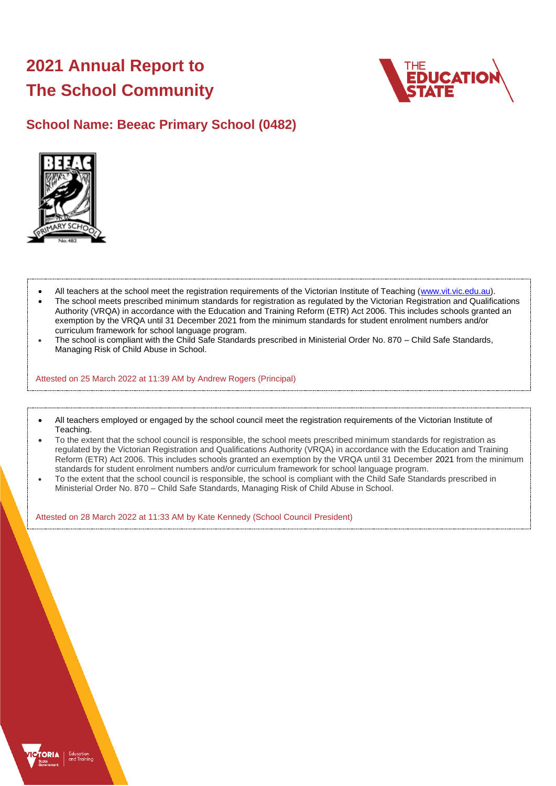# **2021 Annual Report to The School Community**



## **School Name: Beeac Primary School (0482)**



- All teachers at the school meet the registration requirements of the Victorian Institute of Teaching [\(www.vit.vic.edu.au\)](https://www.vit.vic.edu.au/).
- The school meets prescribed minimum standards for registration as regulated by the Victorian Registration and Qualifications Authority (VRQA) in accordance with the Education and Training Reform (ETR) Act 2006. This includes schools granted an exemption by the VRQA until 31 December 2021 from the minimum standards for student enrolment numbers and/or curriculum framework for school language program.
- The school is compliant with the Child Safe Standards prescribed in Ministerial Order No. 870 Child Safe Standards, Managing Risk of Child Abuse in School.

Attested on 25 March 2022 at 11:39 AM by Andrew Rogers (Principal)

- All teachers employed or engaged by the school council meet the registration requirements of the Victorian Institute of Teaching.
- To the extent that the school council is responsible, the school meets prescribed minimum standards for registration as regulated by the Victorian Registration and Qualifications Authority (VRQA) in accordance with the Education and Training Reform (ETR) Act 2006. This includes schools granted an exemption by the VRQA until 31 December 2021 from the minimum standards for student enrolment numbers and/or curriculum framework for school language program.
- To the extent that the school council is responsible, the school is compliant with the Child Safe Standards prescribed in Ministerial Order No. 870 – Child Safe Standards, Managing Risk of Child Abuse in School.

Attested on 28 March 2022 at 11:33 AM by Kate Kennedy (School Council President)

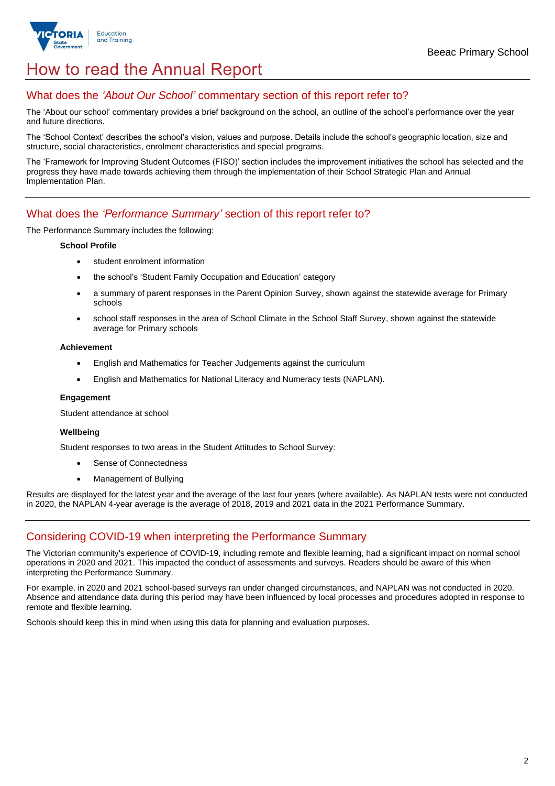

## How to read the Annual Report

## What does the *'About Our School'* commentary section of this report refer to?

The 'About our school' commentary provides a brief background on the school, an outline of the school's performance over the year and future directions.

The 'School Context' describes the school's vision, values and purpose. Details include the school's geographic location, size and structure, social characteristics, enrolment characteristics and special programs.

The 'Framework for Improving Student Outcomes (FISO)' section includes the improvement initiatives the school has selected and the progress they have made towards achieving them through the implementation of their School Strategic Plan and Annual Implementation Plan.

## What does the *'Performance Summary'* section of this report refer to?

The Performance Summary includes the following:

#### **School Profile**

- student enrolment information
- the school's 'Student Family Occupation and Education' category
- a summary of parent responses in the Parent Opinion Survey, shown against the statewide average for Primary schools
- school staff responses in the area of School Climate in the School Staff Survey, shown against the statewide average for Primary schools

#### **Achievement**

- English and Mathematics for Teacher Judgements against the curriculum
- English and Mathematics for National Literacy and Numeracy tests (NAPLAN).

#### **Engagement**

Student attendance at school

#### **Wellbeing**

Student responses to two areas in the Student Attitudes to School Survey:

- Sense of Connectedness
- Management of Bullying

Results are displayed for the latest year and the average of the last four years (where available). As NAPLAN tests were not conducted in 2020, the NAPLAN 4-year average is the average of 2018, 2019 and 2021 data in the 2021 Performance Summary.

## Considering COVID-19 when interpreting the Performance Summary

The Victorian community's experience of COVID-19, including remote and flexible learning, had a significant impact on normal school operations in 2020 and 2021. This impacted the conduct of assessments and surveys. Readers should be aware of this when interpreting the Performance Summary.

For example, in 2020 and 2021 school-based surveys ran under changed circumstances, and NAPLAN was not conducted in 2020. Absence and attendance data during this period may have been influenced by local processes and procedures adopted in response to remote and flexible learning.

Schools should keep this in mind when using this data for planning and evaluation purposes.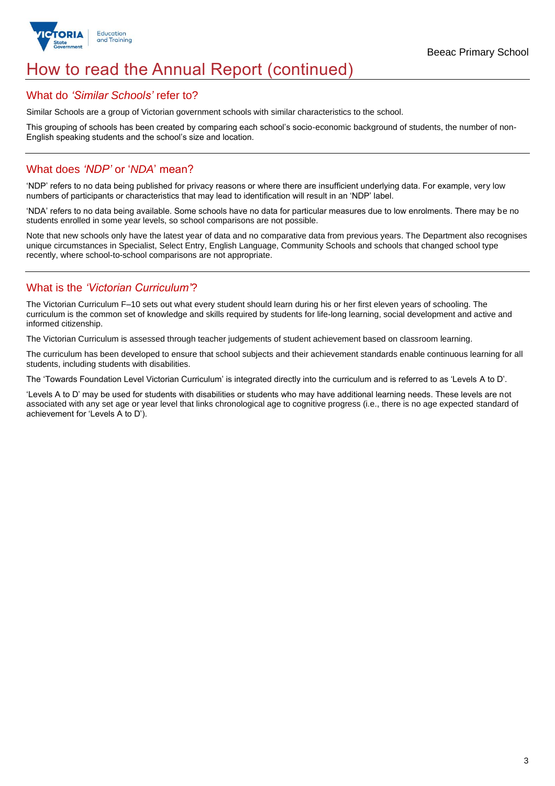

## How to read the Annual Report (continued)

### What do *'Similar Schools'* refer to?

Similar Schools are a group of Victorian government schools with similar characteristics to the school.

This grouping of schools has been created by comparing each school's socio-economic background of students, the number of non-English speaking students and the school's size and location.

## What does *'NDP'* or '*NDA*' mean?

'NDP' refers to no data being published for privacy reasons or where there are insufficient underlying data. For example, very low numbers of participants or characteristics that may lead to identification will result in an 'NDP' label.

'NDA' refers to no data being available. Some schools have no data for particular measures due to low enrolments. There may be no students enrolled in some year levels, so school comparisons are not possible.

Note that new schools only have the latest year of data and no comparative data from previous years. The Department also recognises unique circumstances in Specialist, Select Entry, English Language, Community Schools and schools that changed school type recently, where school-to-school comparisons are not appropriate.

## What is the *'Victorian Curriculum'*?

The Victorian Curriculum F–10 sets out what every student should learn during his or her first eleven years of schooling. The curriculum is the common set of knowledge and skills required by students for life-long learning, social development and active and informed citizenship.

The Victorian Curriculum is assessed through teacher judgements of student achievement based on classroom learning.

The curriculum has been developed to ensure that school subjects and their achievement standards enable continuous learning for all students, including students with disabilities.

The 'Towards Foundation Level Victorian Curriculum' is integrated directly into the curriculum and is referred to as 'Levels A to D'.

'Levels A to D' may be used for students with disabilities or students who may have additional learning needs. These levels are not associated with any set age or year level that links chronological age to cognitive progress (i.e., there is no age expected standard of achievement for 'Levels A to D').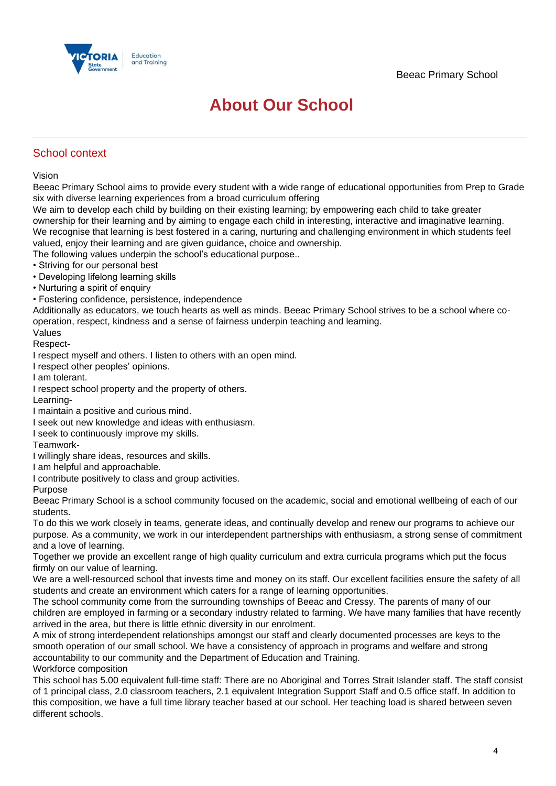

## **About Our School**

## School context

Vision

Beeac Primary School aims to provide every student with a wide range of educational opportunities from Prep to Grade six with diverse learning experiences from a broad curriculum offering

We aim to develop each child by building on their existing learning; by empowering each child to take greater ownership for their learning and by aiming to engage each child in interesting, interactive and imaginative learning. We recognise that learning is best fostered in a caring, nurturing and challenging environment in which students feel valued, enjoy their learning and are given guidance, choice and ownership.

The following values underpin the school's educational purpose..

- Striving for our personal best
- Developing lifelong learning skills
- Nurturing a spirit of enquiry
- Fostering confidence, persistence, independence

Additionally as educators, we touch hearts as well as minds. Beeac Primary School strives to be a school where cooperation, respect, kindness and a sense of fairness underpin teaching and learning.

Values Respect-

I respect myself and others. I listen to others with an open mind.

I respect other peoples' opinions.

I am tolerant.

- I respect school property and the property of others.
- Learning-
- I maintain a positive and curious mind.
- I seek out new knowledge and ideas with enthusiasm.
- I seek to continuously improve my skills.
- Teamwork-
- I willingly share ideas, resources and skills.
- I am helpful and approachable.
- I contribute positively to class and group activities.
- Purpose

Beeac Primary School is a school community focused on the academic, social and emotional wellbeing of each of our students.

To do this we work closely in teams, generate ideas, and continually develop and renew our programs to achieve our purpose. As a community, we work in our interdependent partnerships with enthusiasm, a strong sense of commitment and a love of learning.

Together we provide an excellent range of high quality curriculum and extra curricula programs which put the focus firmly on our value of learning.

We are a well-resourced school that invests time and money on its staff. Our excellent facilities ensure the safety of all students and create an environment which caters for a range of learning opportunities.

The school community come from the surrounding townships of Beeac and Cressy. The parents of many of our children are employed in farming or a secondary industry related to farming. We have many families that have recently arrived in the area, but there is little ethnic diversity in our enrolment.

A mix of strong interdependent relationships amongst our staff and clearly documented processes are keys to the smooth operation of our small school. We have a consistency of approach in programs and welfare and strong accountability to our community and the Department of Education and Training. Workforce composition

This school has 5.00 equivalent full-time staff: There are no Aboriginal and Torres Strait Islander staff. The staff consist of 1 principal class, 2.0 classroom teachers, 2.1 equivalent Integration Support Staff and 0.5 office staff. In addition to this composition, we have a full time library teacher based at our school. Her teaching load is shared between seven different schools.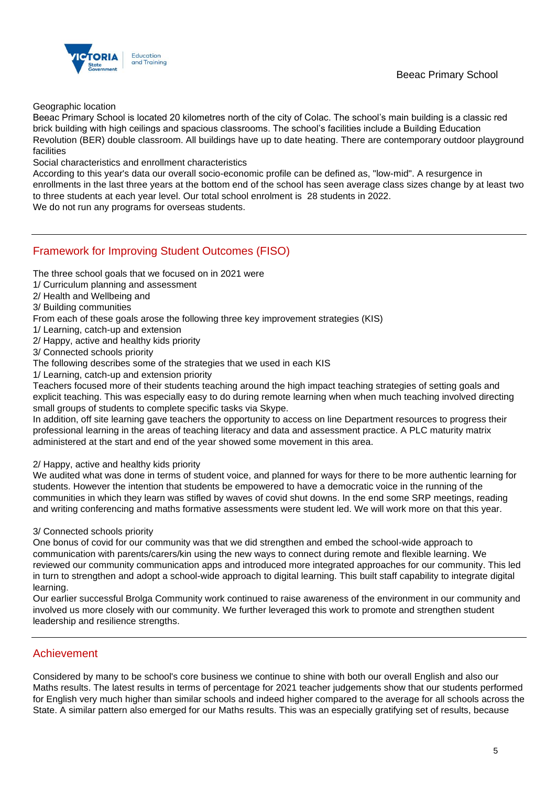

Geographic location

Beeac Primary School is located 20 kilometres north of the city of Colac. The school's main building is a classic red brick building with high ceilings and spacious classrooms. The school's facilities include a Building Education Revolution (BER) double classroom. All buildings have up to date heating. There are contemporary outdoor playground facilities

Social characteristics and enrollment characteristics

According to this year's data our overall socio-economic profile can be defined as, "low-mid". A resurgence in enrollments in the last three years at the bottom end of the school has seen average class sizes change by at least two to three students at each year level. Our total school enrolment is 28 students in 2022.

We do not run any programs for overseas students.

## Framework for Improving Student Outcomes (FISO)

The three school goals that we focused on in 2021 were

- 1/ Curriculum planning and assessment
- 2/ Health and Wellbeing and
- 3/ Building communities

From each of these goals arose the following three key improvement strategies (KIS)

- 1/ Learning, catch-up and extension
- 2/ Happy, active and healthy kids priority
- 3/ Connected schools priority

The following describes some of the strategies that we used in each KIS

1/ Learning, catch-up and extension priority

Teachers focused more of their students teaching around the high impact teaching strategies of setting goals and explicit teaching. This was especially easy to do during remote learning when when much teaching involved directing small groups of students to complete specific tasks via Skype.

In addition, off site learning gave teachers the opportunity to access on line Department resources to progress their professional learning in the areas of teaching literacy and data and assessment practice. A PLC maturity matrix administered at the start and end of the year showed some movement in this area.

2/ Happy, active and healthy kids priority

We audited what was done in terms of student voice, and planned for ways for there to be more authentic learning for students. However the intention that students be empowered to have a democratic voice in the running of the communities in which they learn was stifled by waves of covid shut downs. In the end some SRP meetings, reading and writing conferencing and maths formative assessments were student led. We will work more on that this year.

3/ Connected schools priority

One bonus of covid for our community was that we did strengthen and embed the school-wide approach to communication with parents/carers/kin using the new ways to connect during remote and flexible learning. We reviewed our community communication apps and introduced more integrated approaches for our community. This led in turn to strengthen and adopt a school-wide approach to digital learning. This built staff capability to integrate digital learning.

Our earlier successful Brolga Community work continued to raise awareness of the environment in our community and involved us more closely with our community. We further leveraged this work to promote and strengthen student leadership and resilience strengths.

## Achievement

Considered by many to be school's core business we continue to shine with both our overall English and also our Maths results. The latest results in terms of percentage for 2021 teacher judgements show that our students performed for English very much higher than similar schools and indeed higher compared to the average for all schools across the State. A similar pattern also emerged for our Maths results. This was an especially gratifying set of results, because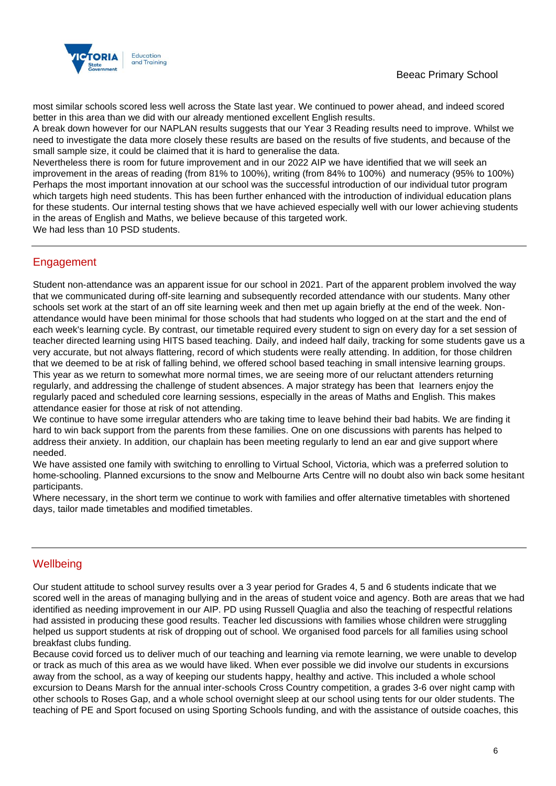

most similar schools scored less well across the State last year. We continued to power ahead, and indeed scored better in this area than we did with our already mentioned excellent English results.

A break down however for our NAPLAN results suggests that our Year 3 Reading results need to improve. Whilst we need to investigate the data more closely these results are based on the results of five students, and because of the small sample size, it could be claimed that it is hard to generalise the data.

Nevertheless there is room for future improvement and in our 2022 AIP we have identified that we will seek an improvement in the areas of reading (from 81% to 100%), writing (from 84% to 100%) and numeracy (95% to 100%) Perhaps the most important innovation at our school was the successful introduction of our individual tutor program which targets high need students. This has been further enhanced with the introduction of individual education plans for these students. Our internal testing shows that we have achieved especially well with our lower achieving students in the areas of English and Maths, we believe because of this targeted work.

We had less than 10 PSD students.

## Engagement

Student non-attendance was an apparent issue for our school in 2021. Part of the apparent problem involved the way that we communicated during off-site learning and subsequently recorded attendance with our students. Many other schools set work at the start of an off site learning week and then met up again briefly at the end of the week. Nonattendance would have been minimal for those schools that had students who logged on at the start and the end of each week's learning cycle. By contrast, our timetable required every student to sign on every day for a set session of teacher directed learning using HITS based teaching. Daily, and indeed half daily, tracking for some students gave us a very accurate, but not always flattering, record of which students were really attending. In addition, for those children that we deemed to be at risk of falling behind, we offered school based teaching in small intensive learning groups. This year as we return to somewhat more normal times, we are seeing more of our reluctant attenders returning regularly, and addressing the challenge of student absences. A major strategy has been that learners enjoy the regularly paced and scheduled core learning sessions, especially in the areas of Maths and English. This makes attendance easier for those at risk of not attending.

We continue to have some irregular attenders who are taking time to leave behind their bad habits. We are finding it hard to win back support from the parents from these families. One on one discussions with parents has helped to address their anxiety. In addition, our chaplain has been meeting regularly to lend an ear and give support where needed.

We have assisted one family with switching to enrolling to Virtual School, Victoria, which was a preferred solution to home-schooling. Planned excursions to the snow and Melbourne Arts Centre will no doubt also win back some hesitant participants.

Where necessary, in the short term we continue to work with families and offer alternative timetables with shortened days, tailor made timetables and modified timetables.

## **Wellbeing**

Our student attitude to school survey results over a 3 year period for Grades 4, 5 and 6 students indicate that we scored well in the areas of managing bullying and in the areas of student voice and agency. Both are areas that we had identified as needing improvement in our AIP. PD using Russell Quaglia and also the teaching of respectful relations had assisted in producing these good results. Teacher led discussions with families whose children were struggling helped us support students at risk of dropping out of school. We organised food parcels for all families using school breakfast clubs funding.

Because covid forced us to deliver much of our teaching and learning via remote learning, we were unable to develop or track as much of this area as we would have liked. When ever possible we did involve our students in excursions away from the school, as a way of keeping our students happy, healthy and active. This included a whole school excursion to Deans Marsh for the annual inter-schools Cross Country competition, a grades 3-6 over night camp with other schools to Roses Gap, and a whole school overnight sleep at our school using tents for our older students. The teaching of PE and Sport focused on using Sporting Schools funding, and with the assistance of outside coaches, this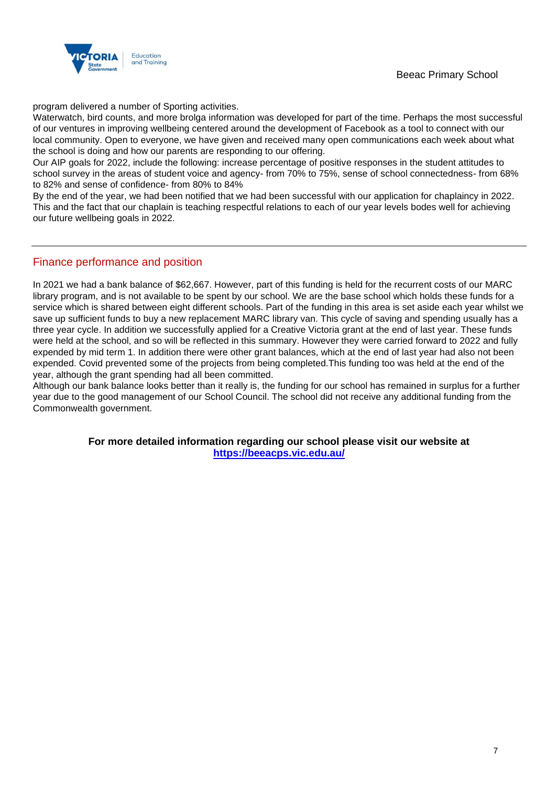

program delivered a number of Sporting activities.

Waterwatch, bird counts, and more brolga information was developed for part of the time. Perhaps the most successful of our ventures in improving wellbeing centered around the development of Facebook as a tool to connect with our local community. Open to everyone, we have given and received many open communications each week about what the school is doing and how our parents are responding to our offering.

Our AIP goals for 2022, include the following: increase percentage of positive responses in the student attitudes to school survey in the areas of student voice and agency- from 70% to 75%, sense of school connectedness- from 68% to 82% and sense of confidence- from 80% to 84%

By the end of the year, we had been notified that we had been successful with our application for chaplaincy in 2022. This and the fact that our chaplain is teaching respectful relations to each of our year levels bodes well for achieving our future wellbeing goals in 2022.

## Finance performance and position

In 2021 we had a bank balance of \$62,667. However, part of this funding is held for the recurrent costs of our MARC library program, and is not available to be spent by our school. We are the base school which holds these funds for a service which is shared between eight different schools. Part of the funding in this area is set aside each year whilst we save up sufficient funds to buy a new replacement MARC library van. This cycle of saving and spending usually has a three year cycle. In addition we successfully applied for a Creative Victoria grant at the end of last year. These funds were held at the school, and so will be reflected in this summary. However they were carried forward to 2022 and fully expended by mid term 1. In addition there were other grant balances, which at the end of last year had also not been expended. Covid prevented some of the projects from being completed.This funding too was held at the end of the year, although the grant spending had all been committed.

Although our bank balance looks better than it really is, the funding for our school has remained in surplus for a further year due to the good management of our School Council. The school did not receive any additional funding from the Commonwealth government.

> **For more detailed information regarding our school please visit our website at <https://beeacps.vic.edu.au/>**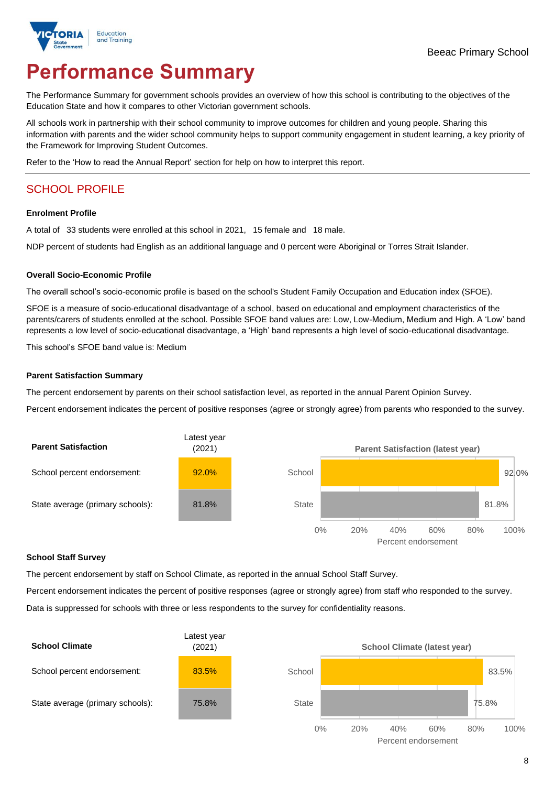

# **Performance Summary**

The Performance Summary for government schools provides an overview of how this school is contributing to the objectives of the Education State and how it compares to other Victorian government schools.

All schools work in partnership with their school community to improve outcomes for children and young people. Sharing this information with parents and the wider school community helps to support community engagement in student learning, a key priority of the Framework for Improving Student Outcomes.

Refer to the 'How to read the Annual Report' section for help on how to interpret this report.

## SCHOOL PROFILE

#### **Enrolment Profile**

A total of 33 students were enrolled at this school in 2021, 15 female and 18 male.

NDP percent of students had English as an additional language and 0 percent were Aboriginal or Torres Strait Islander.

#### **Overall Socio-Economic Profile**

The overall school's socio-economic profile is based on the school's Student Family Occupation and Education index (SFOE).

SFOE is a measure of socio-educational disadvantage of a school, based on educational and employment characteristics of the parents/carers of students enrolled at the school. Possible SFOE band values are: Low, Low-Medium, Medium and High. A 'Low' band represents a low level of socio-educational disadvantage, a 'High' band represents a high level of socio-educational disadvantage.

This school's SFOE band value is: Medium

#### **Parent Satisfaction Summary**

The percent endorsement by parents on their school satisfaction level, as reported in the annual Parent Opinion Survey.

Percent endorsement indicates the percent of positive responses (agree or strongly agree) from parents who responded to the survey.



#### **School Staff Survey**

The percent endorsement by staff on School Climate, as reported in the annual School Staff Survey.

Percent endorsement indicates the percent of positive responses (agree or strongly agree) from staff who responded to the survey. Data is suppressed for schools with three or less respondents to the survey for confidentiality reasons.

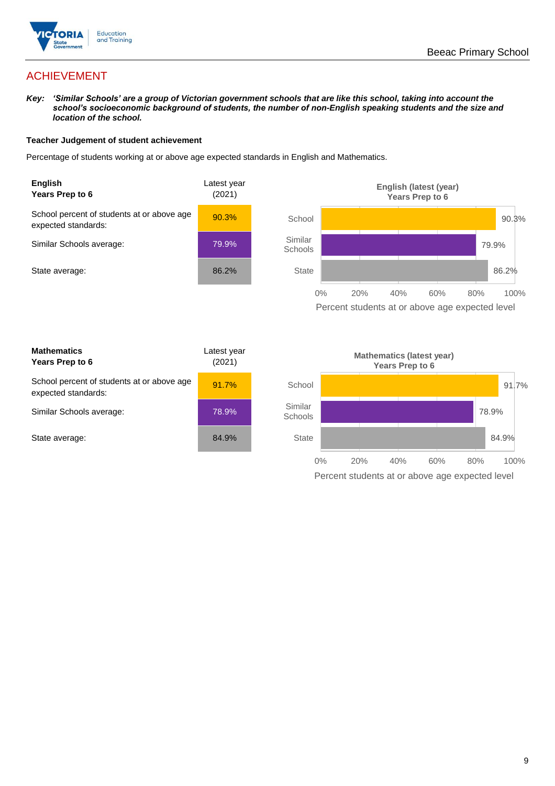

## ACHIEVEMENT

*Key: 'Similar Schools' are a group of Victorian government schools that are like this school, taking into account the school's socioeconomic background of students, the number of non-English speaking students and the size and location of the school.*

#### **Teacher Judgement of student achievement**

Percentage of students working at or above age expected standards in English and Mathematics.



Percent students at or above age expected level

| <b>Mathematics</b><br>Years Prep to 6                             | Latest year<br>(2021) |
|-------------------------------------------------------------------|-----------------------|
| School percent of students at or above age<br>expected standards: | 91.7%                 |
| Similar Schools average:                                          | 78.9%                 |
| State average:                                                    | 84.9%                 |

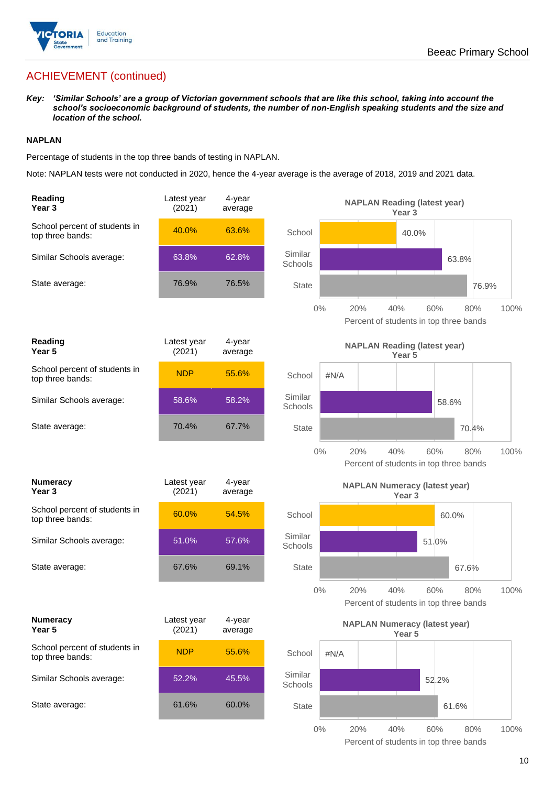

## ACHIEVEMENT (continued)

*Key: 'Similar Schools' are a group of Victorian government schools that are like this school, taking into account the school's socioeconomic background of students, the number of non-English speaking students and the size and location of the school.*

#### **NAPLAN**

Percentage of students in the top three bands of testing in NAPLAN.

Note: NAPLAN tests were not conducted in 2020, hence the 4-year average is the average of 2018, 2019 and 2021 data.

| Reading<br>Year <sub>3</sub>                      | Latest year<br>(2021) | 4-year<br>average |                    |      | <b>NAPLAN Reading (latest year)</b>           | Year <sub>3</sub> |       |       |      |
|---------------------------------------------------|-----------------------|-------------------|--------------------|------|-----------------------------------------------|-------------------|-------|-------|------|
| School percent of students in<br>top three bands: | 40.0%                 | 63.6%             | School             |      |                                               | 40.0%             |       |       |      |
| Similar Schools average:                          | 63.8%                 | 62.8%             | Similar<br>Schools |      |                                               |                   | 63.8% |       |      |
| State average:                                    | 76.9%                 | 76.5%             | <b>State</b>       |      |                                               |                   |       | 76.9% |      |
|                                                   |                       |                   | $0\%$              |      | 20%<br>Percent of students in top three bands | 40%               | 60%   | 80%   | 100% |
| Reading<br>Year 5                                 | Latest year<br>(2021) | 4-year<br>average |                    |      | <b>NAPLAN Reading (latest year)</b>           | Year 5            |       |       |      |
| School percent of students in<br>top three bands: | <b>NDP</b>            | 55.6%             | School             | #N/A |                                               |                   |       |       |      |
| Similar Schools average:                          | 58.6%                 | 58.2%             | Similar<br>Schools |      |                                               |                   | 58.6% |       |      |
| State average:                                    | 70.4%                 | 67.7%             | <b>State</b>       |      |                                               |                   |       | 70.4% |      |
|                                                   |                       |                   | $0\%$              |      | 20%<br>Percent of students in top three bands | 40%               | 60%   | 80%   | 100% |
| <b>Numeracy</b><br>Year <sub>3</sub>              | Latest year<br>(2021) | 4-year<br>average |                    |      | <b>NAPLAN Numeracy (latest year)</b>          | Year <sub>3</sub> |       |       |      |
| School percent of students in<br>top three bands: | 60.0%                 | 54.5%             | School             |      |                                               |                   | 60.0% |       |      |
| Similar Schools average:                          | 51.0%                 | 57.6%             | Similar<br>Schools |      |                                               |                   | 51.0% |       |      |
| State average:                                    | 67.6%                 | 69.1%             | <b>State</b>       |      |                                               |                   | 67.6% |       |      |
|                                                   |                       |                   | $0\%$              |      | 20%<br>Percent of students in top three bands | 40%               | 60%   | 80%   | 100% |
| <b>Numeracy</b><br>Year 5                         | Latest year<br>(2021) | 4-year<br>average |                    |      | <b>NAPLAN Numeracy (latest year)</b>          | Year 5            |       |       |      |
| School percent of students in<br>top three bands: | <b>NDP</b>            | 55.6%             | School             | #N/A |                                               |                   |       |       |      |
| Similar Schools average:                          | 52.2%                 | 45.5%             | Similar<br>Schools |      |                                               |                   | 52.2% |       |      |
| State average:                                    |                       |                   |                    |      |                                               |                   |       |       |      |
|                                                   | 61.6%                 | 60.0%             | <b>State</b>       |      |                                               |                   | 61.6% |       |      |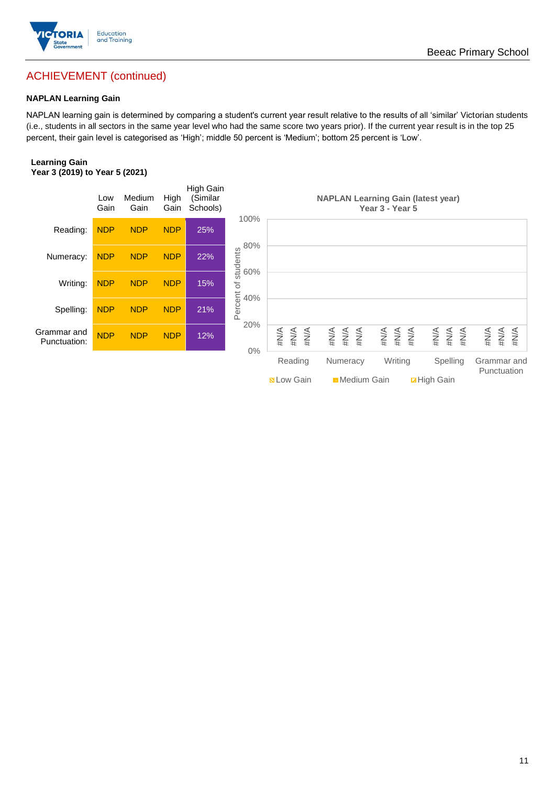

## ACHIEVEMENT (continued)

#### **NAPLAN Learning Gain**

NAPLAN learning gain is determined by comparing a student's current year result relative to the results of all 'similar' Victorian students (i.e., students in all sectors in the same year level who had the same score two years prior). If the current year result is in the top 25 percent, their gain level is categorised as 'High'; middle 50 percent is 'Medium'; bottom 25 percent is 'Low'.

#### **Learning Gain Year 3 (2019) to Year 5 (2021)**

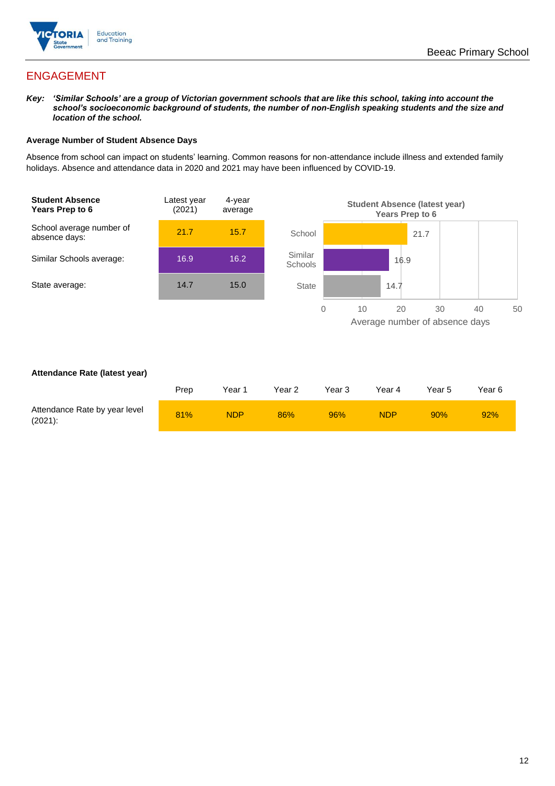

## ENGAGEMENT

*Key: 'Similar Schools' are a group of Victorian government schools that are like this school, taking into account the school's socioeconomic background of students, the number of non-English speaking students and the size and location of the school.*

#### **Average Number of Student Absence Days**

Absence from school can impact on students' learning. Common reasons for non-attendance include illness and extended family holidays. Absence and attendance data in 2020 and 2021 may have been influenced by COVID-19.



#### **Attendance Rate (latest year)**

|                                             | Prep | Year 1     | Year 2 | Year <sub>3</sub> | Year 4     | Year 5 | Year 6 |
|---------------------------------------------|------|------------|--------|-------------------|------------|--------|--------|
| Attendance Rate by year level<br>$(2021)$ : | 81%  | <b>NDP</b> | 86%    | 96%               | <b>NDP</b> | 90%    | 92%    |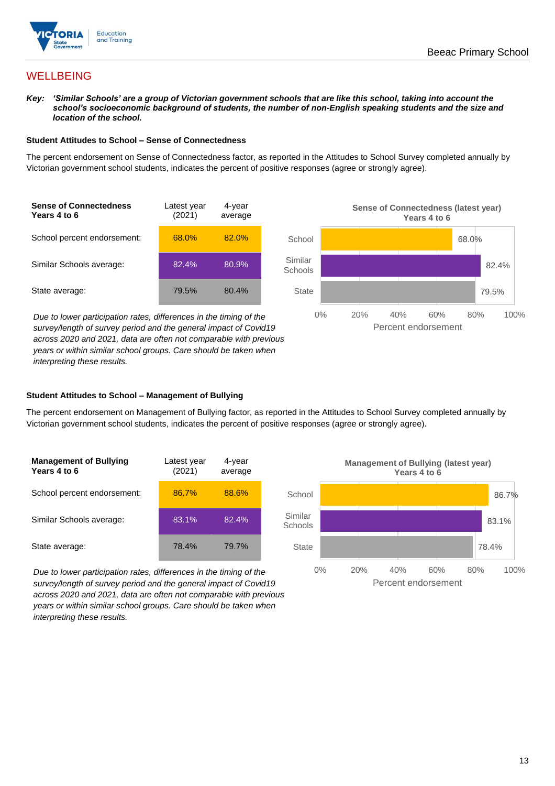

## **WELLBEING**

*Key: 'Similar Schools' are a group of Victorian government schools that are like this school, taking into account the*  school's socioeconomic background of students, the number of non-English speaking students and the size and *location of the school.*

#### **Student Attitudes to School – Sense of Connectedness**

The percent endorsement on Sense of Connectedness factor, as reported in the Attitudes to School Survey completed annually by Victorian government school students, indicates the percent of positive responses (agree or strongly agree).



*Due to lower participation rates, differences in the timing of the survey/length of survey period and the general impact of Covid19 across 2020 and 2021, data are often not comparable with previous years or within similar school groups. Care should be taken when interpreting these results.*



#### **Student Attitudes to School – Management of Bullying**

The percent endorsement on Management of Bullying factor, as reported in the Attitudes to School Survey completed annually by Victorian government school students, indicates the percent of positive responses (agree or strongly agree).

| <b>Management of Bullying</b><br>Years 4 to 6 | Latest year<br>(2021) | 4-year<br>average |  |
|-----------------------------------------------|-----------------------|-------------------|--|
| School percent endorsement:                   | 86.7%                 | 88.6%             |  |
| Similar Schools average:                      | 83.1%                 | 82.4%             |  |
| State average:                                | 78.4%                 | 79.7%             |  |

*Due to lower participation rates, differences in the timing of the survey/length of survey period and the general impact of Covid19 across 2020 and 2021, data are often not comparable with previous years or within similar school groups. Care should be taken when interpreting these results.*

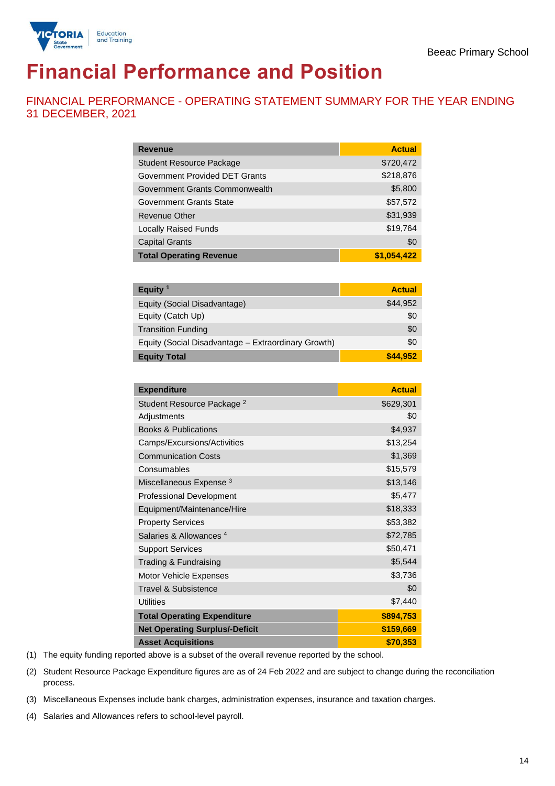

# **Financial Performance and Position**

FINANCIAL PERFORMANCE - OPERATING STATEMENT SUMMARY FOR THE YEAR ENDING 31 DECEMBER, 2021

| <b>Revenue</b>                  | <b>Actual</b> |
|---------------------------------|---------------|
| <b>Student Resource Package</b> | \$720,472     |
| Government Provided DET Grants  | \$218,876     |
| Government Grants Commonwealth  | \$5,800       |
| <b>Government Grants State</b>  | \$57,572      |
| <b>Revenue Other</b>            | \$31,939      |
| <b>Locally Raised Funds</b>     | \$19,764      |
| <b>Capital Grants</b>           | \$0           |
| <b>Total Operating Revenue</b>  | \$1,054,422   |

| Equity $1$                                          | <b>Actual</b> |
|-----------------------------------------------------|---------------|
| Equity (Social Disadvantage)                        | \$44,952      |
| Equity (Catch Up)                                   | \$0           |
| <b>Transition Funding</b>                           | \$0           |
| Equity (Social Disadvantage - Extraordinary Growth) | \$0           |
| <b>Equity Total</b>                                 | \$44.952      |

| <b>Expenditure</b>                    | <b>Actual</b> |
|---------------------------------------|---------------|
| Student Resource Package <sup>2</sup> | \$629,301     |
| Adjustments                           | \$0           |
| <b>Books &amp; Publications</b>       | \$4,937       |
| Camps/Excursions/Activities           | \$13,254      |
| <b>Communication Costs</b>            | \$1,369       |
| Consumables                           | \$15,579      |
| Miscellaneous Expense <sup>3</sup>    | \$13,146      |
| <b>Professional Development</b>       | \$5,477       |
| Equipment/Maintenance/Hire            | \$18,333      |
| <b>Property Services</b>              | \$53,382      |
| Salaries & Allowances <sup>4</sup>    | \$72,785      |
| <b>Support Services</b>               | \$50,471      |
| Trading & Fundraising                 | \$5,544       |
| Motor Vehicle Expenses                | \$3,736       |
| <b>Travel &amp; Subsistence</b>       | \$0           |
| <b>Utilities</b>                      | \$7,440       |
| <b>Total Operating Expenditure</b>    | \$894,753     |
| <b>Net Operating Surplus/-Deficit</b> | \$159,669     |
| <b>Asset Acquisitions</b>             | \$70,353      |

(1) The equity funding reported above is a subset of the overall revenue reported by the school.

(2) Student Resource Package Expenditure figures are as of 24 Feb 2022 and are subject to change during the reconciliation process.

(3) Miscellaneous Expenses include bank charges, administration expenses, insurance and taxation charges.

(4) Salaries and Allowances refers to school-level payroll.